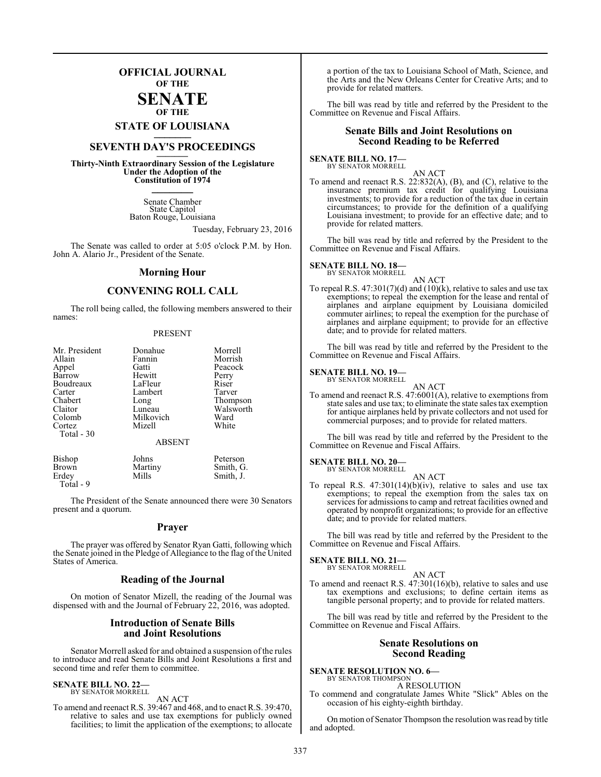## **OFFICIAL JOURNAL OF THE**

## **SENATE OF THE**

# **STATE OF LOUISIANA \_\_\_\_\_\_\_**

## **SEVENTH DAY'S PROCEEDINGS \_\_\_\_\_\_\_**

**Thirty-Ninth Extraordinary Session of the Legislature Under the Adoption of the Constitution of 1974 \_\_\_\_\_\_\_**

> Senate Chamber State Capitol Baton Rouge, Louisiana

> > Tuesday, February 23, 2016

The Senate was called to order at 5:05 o'clock P.M. by Hon. John A. Alario Jr., President of the Senate.

## **Morning Hour**

## **CONVENING ROLL CALL**

The roll being called, the following members answered to their names:

#### PRESENT

| Mr. President | Donahue       | Morrell   |
|---------------|---------------|-----------|
| Allain        | Fannin        | Morrish   |
| Appel         | Gatti         | Peacock   |
| Barrow        | Hewitt        | Perry     |
| Boudreaux     | LaFleur       | Riser     |
| Carter        | Lambert       | Tarver    |
| Chabert       | Long          | Thompson  |
| Claitor       | Luneau        | Walsworth |
| Colomb        | Milkovich     | Ward      |
| Cortez        | Mizell        | White     |
| Total - 30    | <b>ABSENT</b> |           |
| Bishop        | Johns         | Peterson  |
| Brown         | Martiny       | Smith, G. |

Erdey Mills Smith, J. Total - 9

The President of the Senate announced there were 30 Senators present and a quorum.

## **Prayer**

The prayer was offered by Senator Ryan Gatti, following which the Senate joined in the Pledge of Allegiance to the flag of the United States of America.

## **Reading of the Journal**

On motion of Senator Mizell, the reading of the Journal was dispensed with and the Journal of February 22, 2016, was adopted.

## **Introduction of Senate Bills and Joint Resolutions**

Senator Morrell asked for and obtained a suspension of the rules to introduce and read Senate Bills and Joint Resolutions a first and second time and refer them to committee.

## **SENATE BILL NO. 22—**

BY SENATOR MORRELL AN ACT

To amend and reenact R.S. 39:467 and 468, and to enact R.S. 39:470, relative to sales and use tax exemptions for publicly owned facilities; to limit the application of the exemptions; to allocate a portion of the tax to Louisiana School of Math, Science, and the Arts and the New Orleans Center for Creative Arts; and to provide for related matters.

The bill was read by title and referred by the President to the Committee on Revenue and Fiscal Affairs.

## **Senate Bills and Joint Resolutions on Second Reading to be Referred**

**SENATE BILL NO. 17—**<br>BY SENATOR MORRELL

AN ACT To amend and reenact R.S. 22:832(A), (B), and (C), relative to the insurance premium tax credit for qualifying Louisiana investments; to provide for a reduction of the tax due in certain circumstances; to provide for the definition of a qualifying Louisiana investment; to provide for an effective date; and to provide for related matters.

The bill was read by title and referred by the President to the Committee on Revenue and Fiscal Affairs.

#### **SENATE BILL NO. 18—** BY SENATOR MORRELL

AN ACT To repeal R.S.  $47:301(7)(d)$  and  $(10)(k)$ , relative to sales and use tax exemptions; to repeal the exemption for the lease and rental of airplanes and airplane equipment by Louisiana domiciled commuter airlines; to repeal the exemption for the purchase of airplanes and airplane equipment; to provide for an effective date; and to provide for related matters.

The bill was read by title and referred by the President to the Committee on Revenue and Fiscal Affairs.

## **SENATE BILL NO. 19—**

BY SENATOR MORRELL

AN ACT To amend and reenact R.S. 47:6001(A), relative to exemptions from state sales and use tax; to eliminate the state sales tax exemption for antique airplanes held by private collectors and not used for commercial purposes; and to provide for related matters.

The bill was read by title and referred by the President to the Committee on Revenue and Fiscal Affairs.

## **SENATE BILL NO. 20—** BY SENATOR MORRELL

AN ACT

To repeal R.S. 47:301(14)(b)(iv), relative to sales and use tax exemptions; to repeal the exemption from the sales tax on services for admissions to camp and retreat facilities owned and operated by nonprofit organizations; to provide for an effective date; and to provide for related matters.

The bill was read by title and referred by the President to the Committee on Revenue and Fiscal Affairs.

## **SENATE BILL NO. 21—** BY SENATOR MORRELL

AN ACT

To amend and reenact R.S. 47:301(16)(b), relative to sales and use tax exemptions and exclusions; to define certain items as tangible personal property; and to provide for related matters.

The bill was read by title and referred by the President to the Committee on Revenue and Fiscal Affairs.

## **Senate Resolutions on Second Reading**

**SENATE RESOLUTION NO. 6—** BY SENATOR THOMPSON

A RESOLUTION

To commend and congratulate James White "Slick" Ables on the occasion of his eighty-eighth birthday.

On motion of Senator Thompson the resolution was read by title and adopted.